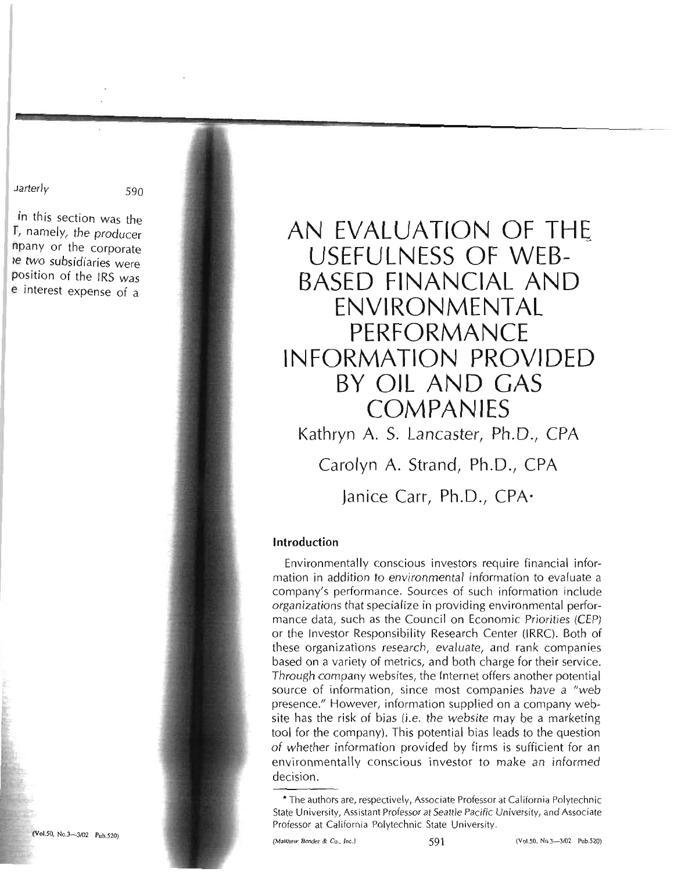Jarterly 590

in this section was the f, namely, the producer npany or the corporate Ie two subsidiaries were position of the IRS was e interest expense of a

# **AN EVALUATION OF THE USEFULNESS OF WEB BASED FINANCIAL AND ENVIRONMENTAL PERFORMANCE INFORMATION PROVIDED BY OIL AND GAS COMPANIES**

Kathryn A. S. Lancaster, Ph.D., CPA Carolyn A. Strand, Ph.D., CPA

Janice Carr, Ph.D., CPA $\cdot$ 

## **Introduction**

Environmentally conscious investors require financial information in addition to environmental information to evaluate a company's performance. Sources of such information include organizations that specialize in providing environmental performance data, such as the Council on Economic Priorities (CEP) or the Investor Responsibility Research Center (IRRC). Both of these organizations research, evaluate, and rank companies based on a variety of metrics, and both charge for their service. Through company websites, the Internet offers another potential source of information, since most companies have a "web presence." However, information supplied on a company website has the risk of bias (i.e. the website may be a marketing tool for the company). This potential bias leads to the question of whether information provided by firms is sufficient for an environmentally conscious investor to make an informed decision.

<sup>\*</sup> The authors are, respectively, Associate Professor at California Polytechnic State University, Assistant Professor at Seattle Pacific University, and Associate Professor at California Polytechnic State University.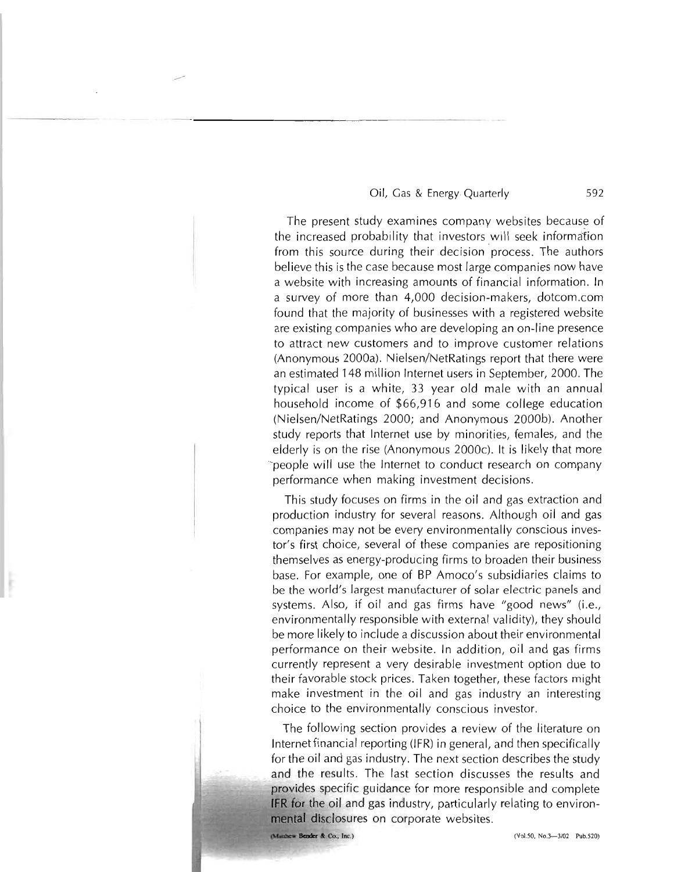...-

592

The present study examines company websites because of the increased probability that investors will seek informa'fion from this source during their decision process. The authors believe this is the case because most large companies now have a website with increasing amounts of financial information. In a survey of more than 4,000 decision-makers, dotcom.com found that the majority of businesses with a registered website are existing companies who are developing an on-line presence to attract new customers and to improve customer relations (Anonymous 2000a). Nielsen/NetRatings report that there were an estimated 148 million Internet users in September, 2000. The typical user is a white, 33 year old male with an annual household income of \$66,916 and some college education (Nielsen/NetRatings 2000; and Anonymous 2000b). Another study reports that Internet use by minorities, females, and the elderly is on the rise (Anonymous 2000c). It is likely that more -people will use the Internet to conduct research on company performance when making investment decisions.

This study focuses on firms in the oil and gas extraction and production industry for several reasons. Although oil and gas companies may not be every environmentally conscious investor's first choice, several of these companies are repositioning themselves as energy-producing firms to broaden their business base. For example, one of BP Amoco's subsidiaries claims to be the world's largest manufacturer of solar electric panels and systems. Also, if oil and gas firms have "good news" (i.e., environmentally responsible with external validity), they should be more likely to include a discussion about their environmental performance on their website. In addition, oil and gas firms currently represent a very desirable investment option due to their favorable stock prices. Taken together, these factors might make investment in the oil and gas industry an interesting choice to the environmentally conscious investor.

The following section provides a review of the literature on Internet financial reporting (IFR) in general, and then specifically for the oil and gas industry. The next section describes the study and the results. The last section discusses the results and provides specific guidance for more responsible and complete **IFR** for the oil and gas industry, particularly relating to environ**mental** disclosures on corporate websites.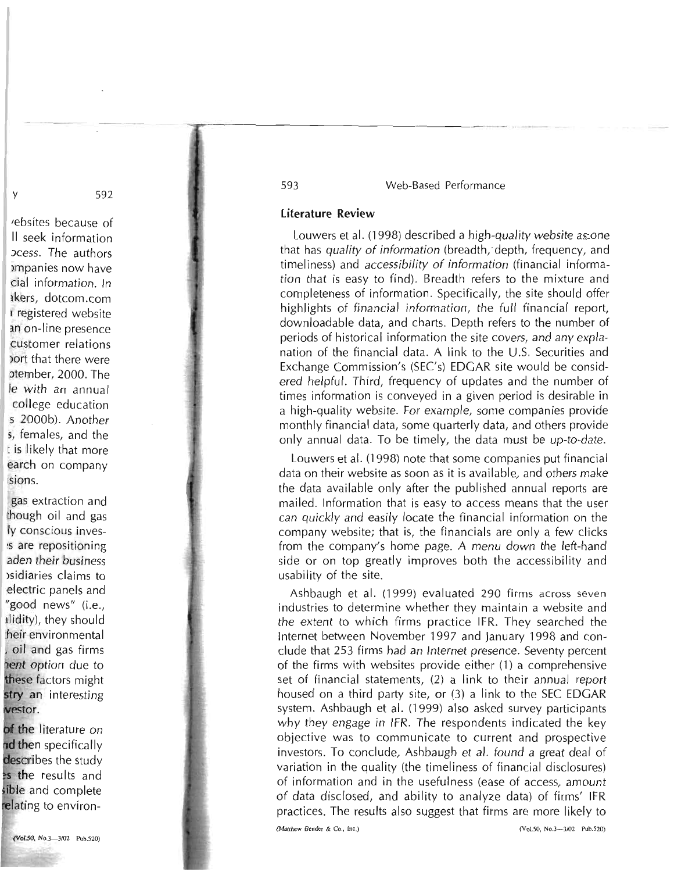## literature Review

-.--------------------------\_.

Louwers et al. (1998) described a high-quality website as one that has quality of information (breadth,'depth, frequency, and timeliness) and accessibility of information (financial information that is easy to find). Breadth refers to the mixture and completeness of information. Specifically, the site should offer highlights of financial information, the full financial report, downloadable data, and charts. Depth refers to the number of periods of historical information the site covers, and any explanation of the financial data. A link to the U.S. Securities and Exchange Commission's (SEC's) EDGAR site would be considered helpful. Third, frequency of updates and the number of times information is conveyed in a given period is desirable in a high-quality website. For example, some companies provide monthly financial data, some quarterly data, and others provide only annual data. To be timely, the data must be up-to-date.

Louwers et al. (1998) note that some companies put financial data on their website as soon as it is available, and others make the data available only after the published annual reports are mailed. Information that is easy to access means that the user can quickly and easily locate the financial information on the company website; that is, the financials are only a few clicks from the company's home page. A menu down the left-hand side or on top greatly improves both the accessibility and usability of the site.

Ashbaugh et al. (1999) evaluated 290 firms across seven industries to determine whether they maintain a website and the extent to which firms practice IFR. They searched the Internet between November 1997 and January 1998 and conclude that 253 firms had an Internet presence. Seventy percent of the firms with websites provide either (1) a comprehensive set of financial statements, (2) a link to their annual report housed on a third party site, or (3) a link to the SEC EDGAR system. Ashbaugh et al. (1999) also asked survey participants why they engage in IFR. The respondents indicated the key objective was to communicate to current and prospective investors. To conclude, Ashbaugh et al. found a great deal of variation in the quality (the timeliness of financial disclosures) of information and in the usefulness (ease of access, amount of data disclosed, and ability to analyze data) of firms' IFR practices. The results also suggest that firms are more likely to

y 592

'ebsites because of II seek information )Cess. The authors >mpanies now have cial information. In lkers, dotcom.com I registered website an on-line presence customer relations )ort that there were otember, 2000. The Ie with an annual college education s 2000b). Another 5, females, and the : is likely that more earch on company sions.

gas extraction and though oiI and gas Iy conscious inves ~s are repositioning aden their business >sidiaries claims to electric panels and "good news" (i.e., IJidity), they should :heir environmental oil and gas firms nent option due to hese factors might stry an interesting westor.

of the literature on nd then specifically describes the study es the results and ible and complete relating to environ-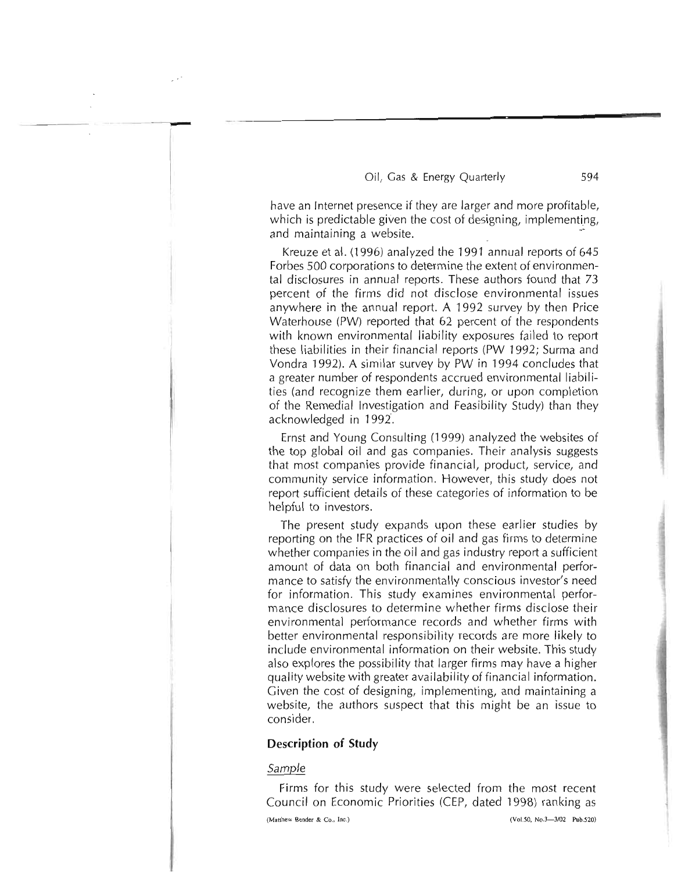have an Internet presence if they are larger and more profitable, which is predictable given the cost of designing, implementing, and maintaining a website.

Kreuze et al. (1996) analyzed the 1991 annual reports of 645 Forbes 500 corporations to determine the extent of environmental disclosures in annual reports. These authors found that 73 percent of the firms did not disclose environmental issues anywhere in the annual report. A 1992 survey by then Price Waterhouse (PW) reported that 62 percent of the respondents with known environmental liability exposures failed to report these liabilities in their financial reports (PW 1992; Surma and Vondra 1992). A similar survey by PW in 1994 concludes that a greater number of respondents accrued environmental liabilities (and recognize them earlier, during, or upon completion of the Remedial Investigation and Feasibility Study) than they acknowledged in 1992.

Ernst and Young Consulting (1999) analyzed the websites of the top global oil and gas companies. Their analysis suggests that most companies provide financial, product, service, and community service information. However, this study does not report sufficient details of these categories of information to be helpful to investors.

The present study expands upon these earlier studies by reporting on the IFR practices of oil and gas firms to determine whether companies in the oil and gas industry report a sufficient amount of data on both financial and environmental performance to satisfy the environmentally conscious investor's need for information. This study examines environmental performance disclosures to determine whether firms disclose their environmental performance records and whether firms with better environmental responsibility records are more likely to include environmental information on their website. This study also explores the possibility that larger firms may have a higher quality website with greater availability of financial information. Given the cost of designing, implementing, and maintaining a website, the authors suspect that this might be an issue to consider.

#### **Description of Study**

#### Sample

Firms for this study were selected from the most recent Council on Economic Priorities (CEP, dated 1998) ranking as

(Matthew Bender & Co., Inc.) (VoL*SO. No.3-3/02* Pub.S20)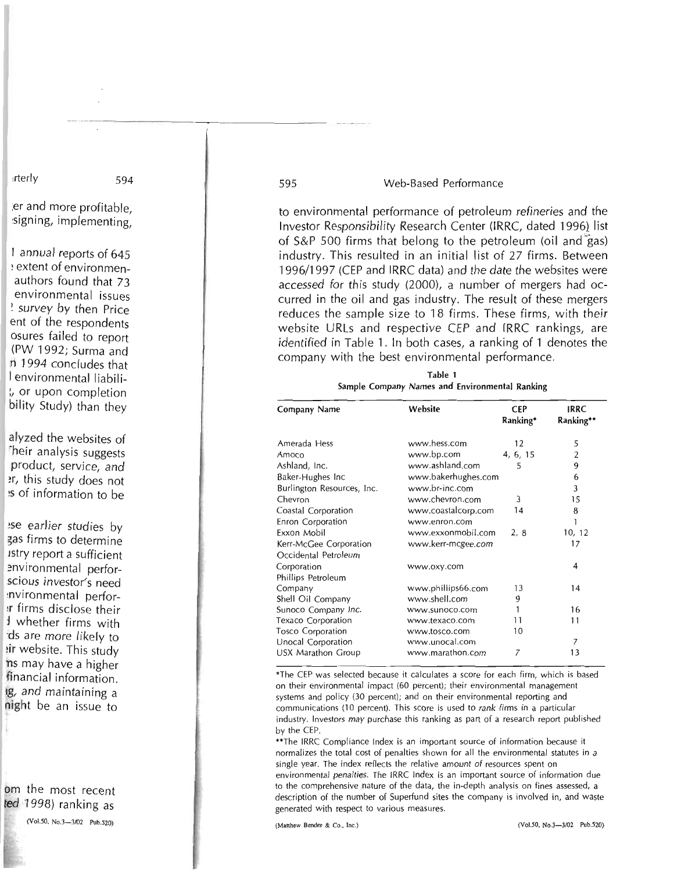to environmental performance of petroleum refineries and the Investor Responsibility Research Center (IRRC, dated 1996} list of  $S\&P$  500 firms that belong to the petroleum (oil and  $\tilde{g}$ as) industry. This resulted in an initial list of 27 firms. Between 1996/1997 (CEP and IRRC data) and the date the websites were accessed for this study (2000), a number of mergers had occurred in the oil and gas industry. The result of these mergers reduces the sample size to 18 firms. These firms, with their website URLs and respective CEP and IRRC rankings, are identified in Table 1. In both cases, a ranking of 1 denotes the company with the best environmental performance.

Table 1 Sample Company Names and Environmental Ranking

| Company Name               | Website             | <b>CEP</b><br>Ranking* | IRRC<br>Ranking** |
|----------------------------|---------------------|------------------------|-------------------|
| Amerada Hess               | www.hess.com        | 12                     | 5                 |
| Amoco                      | www.bp.com          | 4, 6, 15               | 2                 |
| Ashland, Inc.              | www.ashland.com     | 5                      | 9                 |
| Baker-Hughes Inc           | www.bakerhughes.com |                        | 6                 |
| Burlington Resources, Inc. | www.br-inc.com      |                        | 3                 |
| Chevron                    | www.chevron.com     | 3                      | 15                |
| Coastal Corporation        | www.coastalcorp.com | 14                     | 8                 |
| Enron Corporation          | www.enron.com       |                        | 1                 |
| Exxon Mobil                | www.exxonmobil.com  | 2,8                    | 10, 12            |
| Kerr-McGee Corporation     | www.kerr-mcgee.com  |                        | 17                |
| Occidental Petroleum       |                     |                        |                   |
| Corporation                | www.oxy.com         |                        | 4                 |
| Phillips Petroleum         |                     |                        |                   |
| Company                    | www.phillips66.com  | 13                     | 14                |
| Shell Oil Company          | www.shell.com       | 9                      |                   |
| Sunoco Company Inc.        | www.sunoco.com      |                        | 16                |
| Texaco Corporation         | www.texaco.com      | 11                     | 11                |
| <b>Tosco Corporation</b>   | www.tosco.com       | 10                     |                   |
| Unocal Corporation         | www.unocal.com      |                        | 7                 |
| USX Marathon Group         | www.marathon.com    | 7                      | 13                |

'The CEP was selected because it calculates a score for each firm, which is based on their environmental impact (60 percent); their environmental management systems and policy (30 percent); and on their environmental reporting and communications (10 percent). This score is used to rank firms in a particular industry. Investors may purchase this ranking as part of a research report published by the CEP.

\*\*The IRRC Compliance Index is an important source of information because it normalizes the total cost of penalties shown for all the environmental statutes in a single year. The index reflects the relative amount of resources spent on environmental penalties. The IRRC Index is an important source of information due to the comprehensive nature of the data, the in-depth analysis on fines assessed, a description of the number of Superfund sites the company is involved in, and waste generated with respect to various measures.

(Matthew Bender & Co., Inc.) (VoI.50, *No.3-3102* Pub.520)

;er and more profitable, ~signing, implementing,

I annual reports of 645 extent of environmenauthors found that 73 environmental issues ! survey by then Price ent of the respondents osures failed to report (PW 1992; Surma and n 1994 concludes that I environmental liabili :, or upon completion bility Study) than they

alyzed the websites of Their analysis suggests product, service, and ~r, this study does not !S of information to be

!se earlier studies by zas firms to determine Jstry report a sufficient ~nvironmental perforscious investor's need ~nv;ronmental perfor ~r firms disclose their J whether firms with 'ds are more likely to !ir website. This study ns may have a higher financial information. Ig, and maintaining a night be an issue to

om the most recent ted 1998) ranking as

(VoI.50. No.3-3102 Pub.520)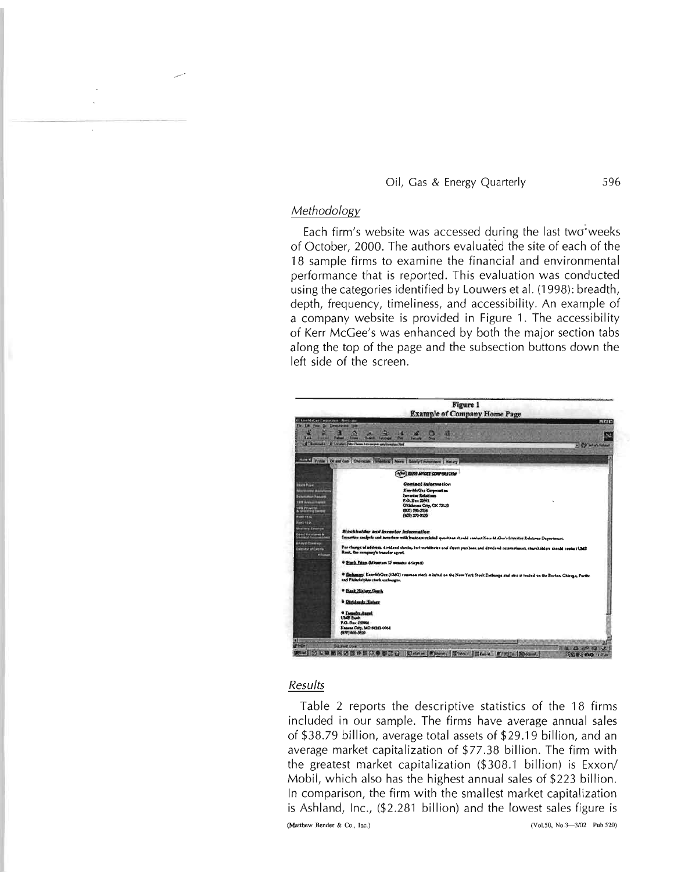## *Methodology*

Each firm's website was accessed during the last two weeks of October, 2000. The authors evaluated the site of each of the 18 sample firms to examine the financial and environmental performance that is reported. This evaluation was conducted using the categories identified by Louwers et al. (1998): breadth, depth, frequency, timeliness, and accessibility. An example of a company website is provided in Figure 1. The accessibility of Kerr McGee's was enhanced by both the major section tabs along the top of the page and the subsection buttons down the left side of the screen.



## *Results*

Table 2 reports the descriptive statistics of the 18 firms included in our sample. The firms have average annual sales of \$38.79 billion, average total assets of \$29.19 billion, and an average market capitalization of \$77.38 billion. The firm with the greatest market capitalization (\$308.1 billion) is Exxon/ Mobil, which also has the highest annual sales of \$223 billion. In comparison, the firm with the smallest market capitalization is Ashland, Inc., (\$2.281 billion) and the lowest sales figure is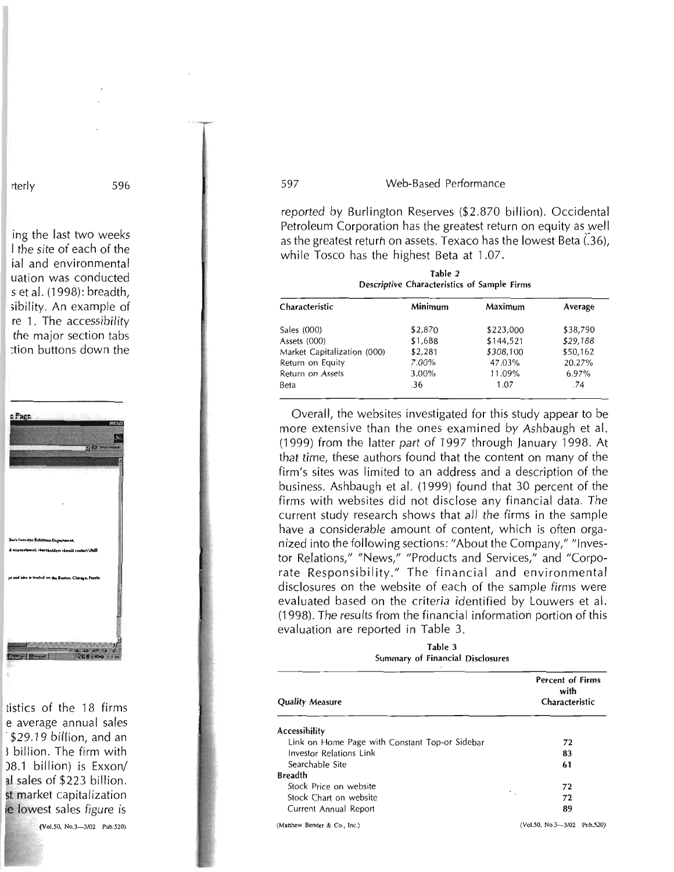reported by Burlington Reserves (\$2.870 billion). Occidental Petroleum Corporation has the greatest return on equity as well as the greatest return on assets. Texaco has the lowest Beta  $(.36)$ , while Tosco has the highest Beta at 1.07.

Table 2 Descriptive Characteristics of Sample Firms

| Characteristic              | Minimum | Maximum   | Average  |
|-----------------------------|---------|-----------|----------|
| Sales (000)                 | \$2,870 | \$223,000 | \$38,790 |
| Assets (000)                | \$1,688 | \$144,521 | \$29,188 |
| Market Capitalization (000) | \$2,281 | \$308,100 | \$50,162 |
| Return on Equity            | 7.00%   | 47.03%    | 20.27%   |
| Return on Assets            | 3.00%   | 11.09%    | 6.97%    |
| Beta                        | .36     | 1.07      | .74      |

Overall, the websites investigated for this study appear to be more extensive than the ones examined by Ashbaugh et al. (1999) from the latter part of 1997 through January 1998. At that time, these authors found that the content on many of the firm's sites was limited to an address and a description of the business. Ashbaugh et al. (1999) found that 30 percent of the firms with websites did not disclose any financial data. The current study research shows that all the firms in the sample have a considerable amount of content, which is often organized into the following sections: "About the Company," "Investor Relations," "News," "Products and Services," and "Corporate Responsibility." The financial and environmental disclosures on the website of each of the sample firms were evaluated based on the criteria identified by Louwers et al. (1998). The results from the financial information portion of this evaluation are reported in Table 3.

Table 3 Summary of Financial Disclosures

| <b>Quality Measure</b>                         | <b>Percent of Firms</b><br>with<br>Characteristic |  |
|------------------------------------------------|---------------------------------------------------|--|
| <b>Accessibility</b>                           |                                                   |  |
| Link on Home Page with Constant Top-or Sidebar | 72                                                |  |
| Investor Relations Link                        | 83                                                |  |
| Searchable Site                                | 61                                                |  |
| <b>Breadth</b>                                 |                                                   |  |
| Stock Price on website                         | 72                                                |  |
| Stock Chart on website                         | 72                                                |  |
| Current Annual Report                          | 89                                                |  |
| (Matthew Bender & Co., Inc.)                   | (Vol.50, No.3-3/02 Pub.520)                       |  |

rterly 596

ing the last two weeks I the site of each of the ial and environmental uation was conducted s et al. (1998): breadth, ;ibility. An example of re 1. The accessibility the major section tabs :tion buttons down the



tistics of the 18 firms e average annual sales \$29.19 billion, and an I billion. The firm with )8.1 billion) is Exxon/ al sales of \$223 billion. st market capitalization e lowest sales figure is

(VoI.50. *No.3-3102* Pub.520)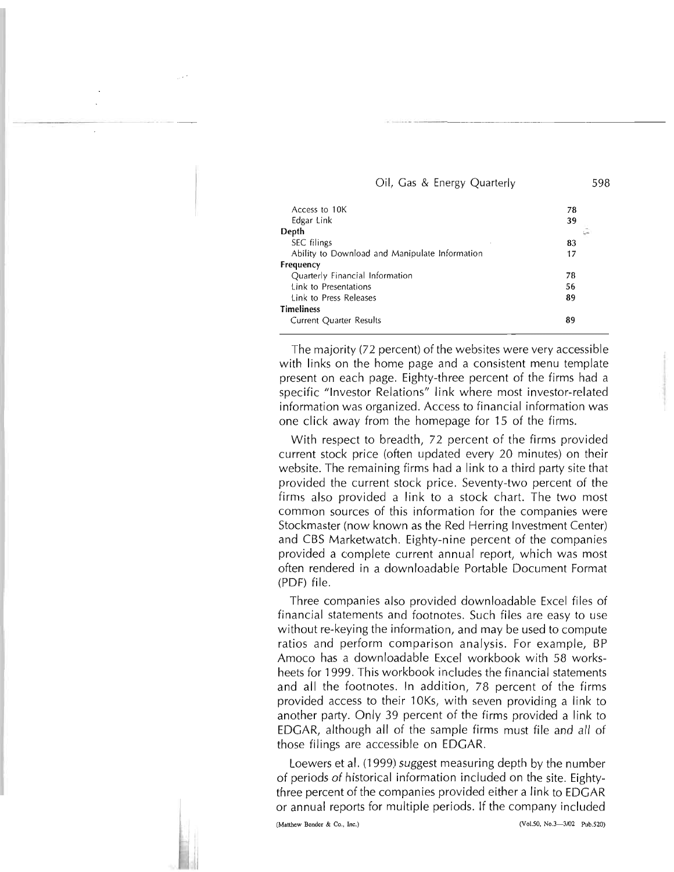|  |  |  |  | Oil, Gas & Energy Quarterly | 598 |
|--|--|--|--|-----------------------------|-----|
|--|--|--|--|-----------------------------|-----|

| Access to 10K                                  | 78 |
|------------------------------------------------|----|
| Edgar Link                                     | 39 |
| Depth                                          |    |
| SEC filings                                    | 83 |
| Ability to Download and Manipulate Information | 17 |
| Frequency                                      |    |
| Quarterly Financial Information                | 78 |
| Link to Presentations                          | 56 |
| Link to Press Releases                         | 89 |
| Timeliness                                     |    |
| <b>Current Quarter Results</b>                 | 89 |
|                                                |    |

The majority (72 percent) of the websites were very accessible with links on the home page and a consistent menu template present on each page. Eighty-three percent of the firms had a specific "Investor Relations" link where most investor-related information was organized. Access to financial information was one click away from the homepage for 15 of the firms.

With respect to breadth, 72 percent of the firms provided current stock price (often updated every 20 minutes) on their website. The remaining firms had a link to a third party site that provided the current stock price. Seventy-two percent of the firms also provided a link to a stock chart. The two most common sources of this information for the companies were Stockmaster (now known as the Red Herring Investment Center) and CBS Marketwatch. Eighty-nine percent of the companies provided a complete current annual report, which was most often rendered in a downloadable Portable Document Format (PDF) file.

Three companies also provided downloadable Excel files of financial statements and footnotes. Such files are easy to use without re-keying the information, and may be used to compute ratios and perform comparison analysis. For example, BP Amoco has a downloadable Excel workbook with 58 worksheets for 1999. This workbook includes the financial statements and all the footnotes. In addition, 78 percent of the firms provided access to their 10Ks, with seven providing a link to another party. Only 39 percent of the firms provided a link to EDGAR, although all of the sample firms must file and all of those filings are accessible on EDGAR.

Loewers et al. (1999) suggest measuring depth by the number of periods of historical information included on the site. Eightythree percent of the companies provided either a link to EDGAR or annual reports for multiple periods. If the company included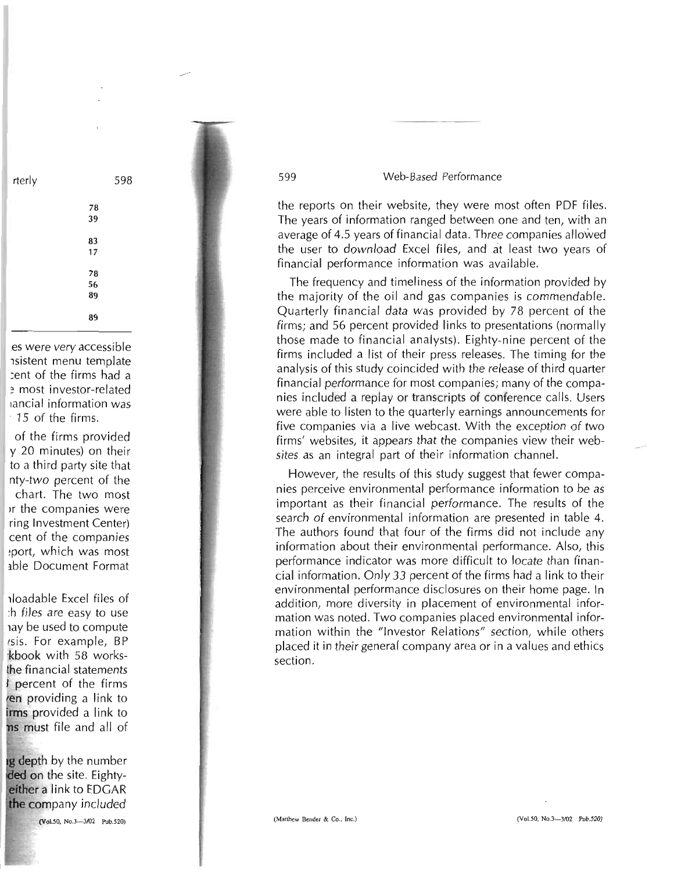the reports on their website, they were most often PDF files. The years of information ranged between one and ten, with an average of 4.5 years of financial data. Three companies allowed the user to download Excel files, and at least two years of financial performance information was available.

The frequency and timeliness of the information provided by the majority of the oil and gas companies is commendable. Quarterly financial data was provided by 78 percent of the firms; and 56 percent provided links to presentations (normally those made to financial analysts). Eighty-nine percent of the firms included a list of their press releases. The timing for the analysis of this study coincided with the release of third quarter financial performance for most companies; many of the companies included a replay or transcripts of conference calls. Users were able to listen to the quarterly earnings announcements for five companies via a live webcast. With the exception of two firms' websites, it appears that the companies view their websites as an integral part of their information channel.

However, the results of this study suggest that fewer companies perceive environmental performance information to be as important as their financial performance. The results of the search of environmental information are presented in table 4. The authors found that four of the firms did not include any information about their environmental performance. Also, this performance indicator was more difficult to locate than financial information. Only 33 percent of the firms had a link to their environmental performance disclosures on their home page. In addition, more diversity in placement of environmental information was noted. Two companies placed environmental infor*mation* within the "Investor Relations" section, while others placed it in their general company area or in a values and ethics section.

es were very accessible nsistent menu template :ent of the firms had a most investor-related lancial information was . 15 of the firms.

rterly 598

78 39

83 17

78 56 89

89

of the firms provided y 20 minutes) on their to a third party site that nty-two percent of the chart. The two most Ir the companies were ring Investment Center) cent of the companies ~port, which was most 3.ble Document Format

110adable Excel files of :h files are easy to use hay be used to compute isis. For example, BP 'kbook with 58 worksthe financial statements I percent of the firms en providing a link to irms provided a link to ns must file and all of

g depth by the number ded on the site. Eighty**either** a link to EDGAR the company included

(Vol.50, No.3-3f02 Pub.520)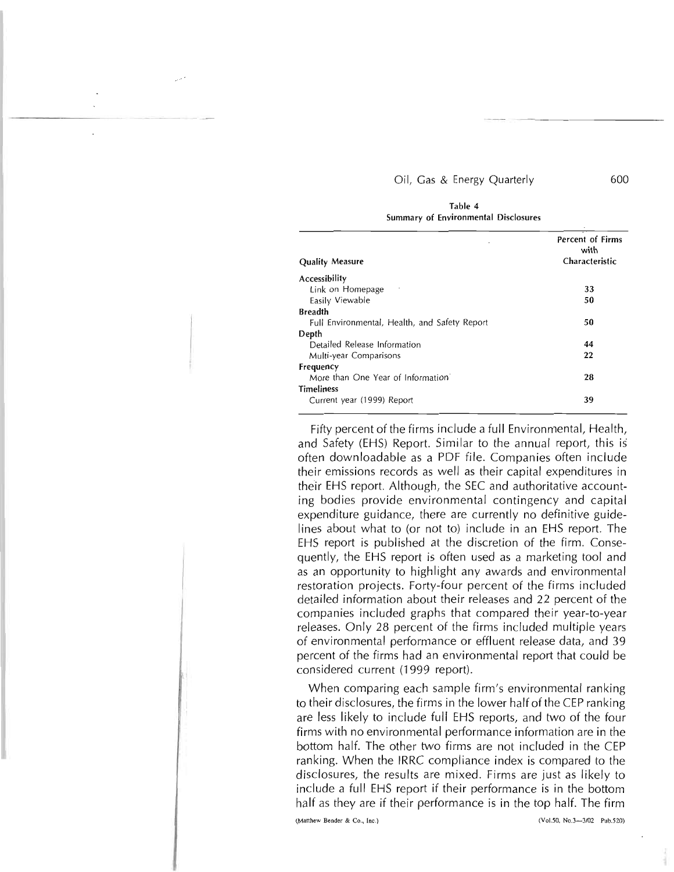|                                               | <b>Percent of Firms</b><br>with |  |
|-----------------------------------------------|---------------------------------|--|
| <b>Quality Measure</b>                        | Characteristic                  |  |
| Accessibility                                 |                                 |  |
| Link on Homepage                              | 33                              |  |
| Easily Viewable                               | 50                              |  |
| <b>Breadth</b>                                |                                 |  |
| Full Environmental, Health, and Safety Report | 50                              |  |
| Depth                                         |                                 |  |
| Detailed Release Information                  | 44                              |  |
| Multi-year Comparisons                        | 22                              |  |
| <b>Frequency</b>                              |                                 |  |
| More than One Year of Information             | 28                              |  |
| <b>Timeliness</b>                             |                                 |  |
| Current year (1999) Report                    | 39                              |  |

Table 4 Summary of Environmental Disclosures

Fifty percent of the firms include a full Environmental, Health, and Safety (EHS) Report. Similar to the annual report, this is often downloadable as a PDF file. Companies often include their emissions records as well as their capital expenditures in their EHS report. Although, the SEC and authoritative accounting bodies provide environmental contingency and capital expenditure guidance, there are currently no definitive guidelines about what to (or not to) include in an EHS report. The EHS report is published at the discretion of the firm. Consequently, the EHS report is often used as a marketing tool and as an opportunity to highlight any awards and environmental restoration projects. Forty-four percent of the firms included detailed information about their releases and 22 percent of the companies included graphs that compared their year-to-year releases. Only 28 percent of the firms included multiple years of environmental performance or effluent release data, and 39 percent of the firms had an environmental report that could be considered current (1999 report).

When comparing each sample firm's environmental ranking to their disclosures, the firms in the lower half of the CEP ranking are less likely to include full EHS reports, and two of the four firms with no environmental performance information are in the bottom half. The other two firms are not included in the CEP ranking. When the IRRC compliance index is compared to the disclosures, the results are mixed. Firms are just as likely to include a full EHS report if their performance is in the bottom half as they are if their performance is in the top half. The firm

(Matthew Bender & Co., Inc.) (Vol.50, No.3-4702 Pub.520)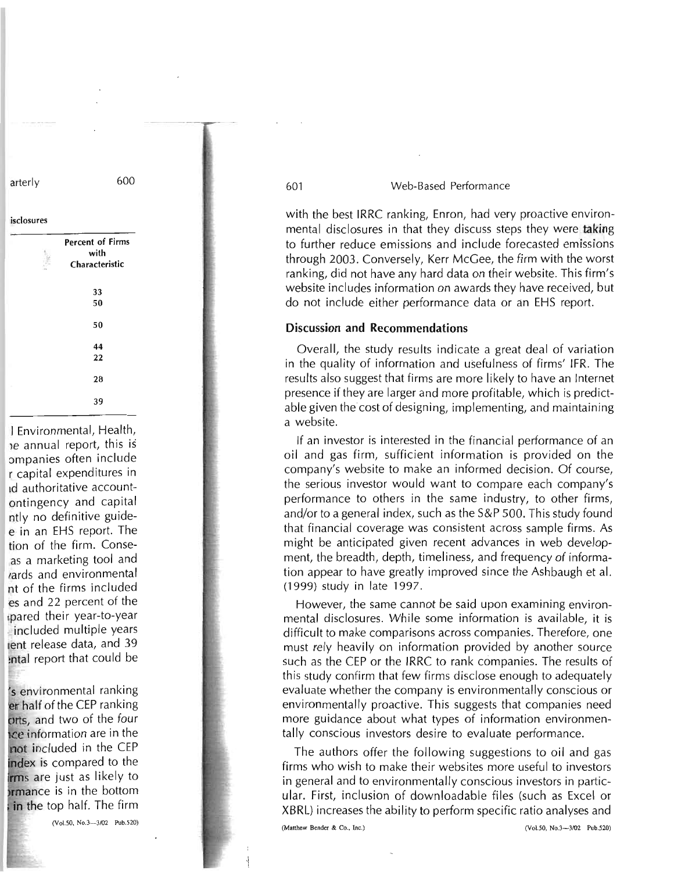with the best IRRC ranking, Enron, had very proactive environmental disclosures in that they discuss steps they were taking to further reduce emissions and include forecasted emissions through 2003. Conversely, Kerr McGee, the firm with the worst ranking, did not have any hard data on their website. This firm's website includes information on awards they have received, but do not include either performance data or an EHS report.

## Discussion and Recommendations

Overall, the study results indicate a great deal of variation in the quality of information and usefulness of firms' IFR. The results also suggest that firms are more likely to have an Internet presence if they are larger and more profitable, which is predictable given the cost of designing, implementing, and maintaining a website.

If an investor is interested in the financial performance of an oil and gas firm, sufficient information is provided on the company's website to make an informed decision. Of course, the serious investor would want to compare each company's performance to others in the same industry, to other firms, and/or to a general index, such as the S&P 500. This study found that financial coverage was consistent across sample firms. As might be anticipated given recent advances in web development, the breadth, depth, timeliness, and frequency of information appear to have greatly improved since the Ashbaugh et al. (1999) study in late 1997.

However, the same cannot be said upon examining environmental disclosures. While some information is available, it is difficult to make comparisons across companies. Therefore, one must rely heavily on information provided by another source such as the CEP or the IRRC to rank companies. The results of this study confirm that few firms disclose enough to adequately evaluate whether the company is environmentally conscious or environmentally proactive. This suggests that companies need more guidance about what types of information environmentally conscious investors desire to evaluate performance.

The authors offer the following suggestions to oil and gas firms who wish to make their websites more useful to investors in general and to environmentally conscious investors in particular. First, inclusion of downloadable files (such as Excel or XBRL) increases the ability to perform specific ratio analyses and

(Manhew Bender & Co., Inc.) (Vo1.50, No.3-3102 Pub.520)

arterly 600

isclosures

Percent of Firms with

33

28

39

I Environmental, Health, Ie annual report, this is ompanies often include r capital expenditures in Id authoritative accountontingency and capital ntly no definitive guidee in an EHS report. The tion of the firm. Conseas a marketing tool and lards and environmental nt of the firms included es and 22 percent of the Ipared their year-to-year included multiple years lent release data, and 39 !ntal report that could be

s environmental ranking er half of the CEP ranking orts, and two of the four ce information are in the not included in the CEP ndex is compared to the irms are just as likely to **Irmance** is in the bottom in the top half. The firm

(Vo1.50, *No.3-3/02* Pub.520)

Characteristic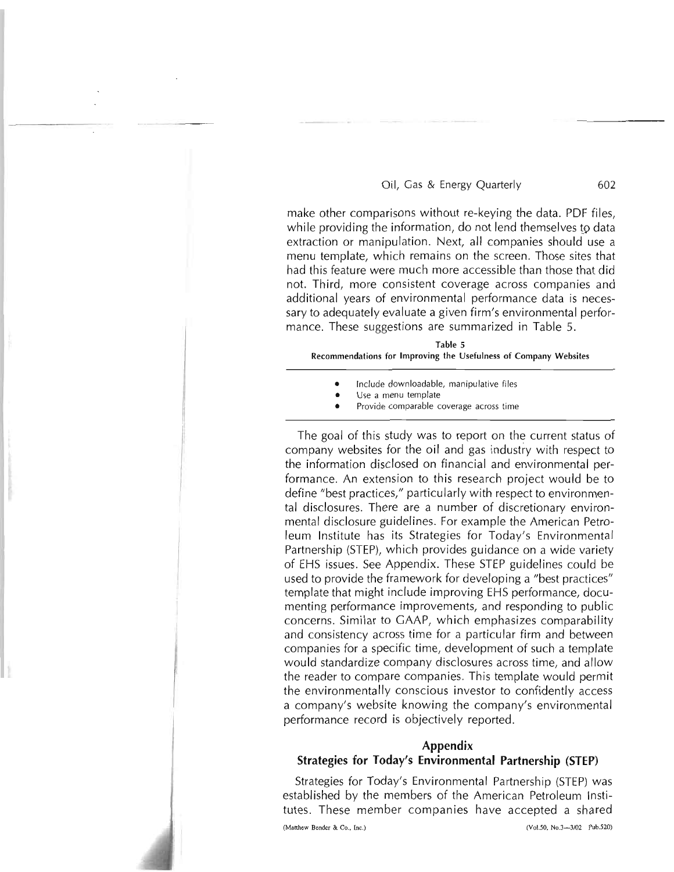make other comparisons without re-keying the data. PDF files, while providing the information, do not lend themselves to data extraction or manipulation. Next, all companies should use a menu template, which remains on the screen. Those sites that had this feature were much more accessible than those that did not. Third, more consistent coverage across companies and additional years of environmental performance data is necessary to adequately evaluate a given firm's environmental performance. These suggestions are summarized in Table 5.

| Table 5                                                          |
|------------------------------------------------------------------|
| Recommendations for Improving the Usefulness of Company Websites |

- Include downloadable, manipulative files
- Use a menu template
- Provide comparable coverage across time

The goal of this study was to report on the current status of company websites for the oil and gas industry with respect to the information disclosed on financial and environmental performance. An extension to this research project would be to define "best practices," particularly with respect to environmental disclosures. There are a number of discretionary environmental disclosure guidelines. For example the American Petroleum Institute has its Strategies for Today's Environmental Partnership (STEP), which provides guidance on a wide variety of EHS issues. See Appendix. These STEP guidelines could be used to provide the framework for developing a "best practices" template that might include improving EHS performance, documenting performance improvements, and responding to public concerns. Similar to CAAP, which emphasizes comparability and consistency across time for a particular firm and between companies for a specific time, development of such a template would standardize company disclosures across time, and allow the reader to compare companies. This template would permit the environmentally conscious investor to confidently access a company's website knowing the company's environmental performance record is objectively reported.

## **Appendix Strategies for Today's Environmental Partnership (STEP)**

Strategies for Today's Environmental Partnership (STEP) was established by the members of the American Petroleum Institutes. These member companies have accepted a shared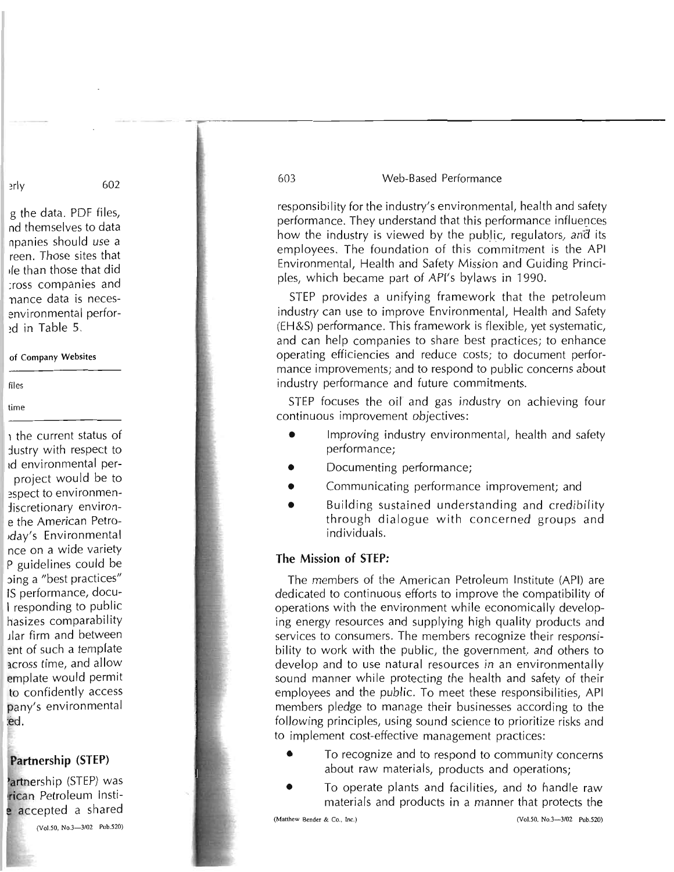responsibility for the industry's environmental, health and safety performance. They understand that this performance influences how the industry is viewed by the public, regulators, and its employees. The foundation of this commitment is the API Environmental, Health and Safety Mission and Guiding Principles, which became part of API's bylaws in 1990.

STEP provides a unifying framework that the petroleum industry can use to improve Environmental, Health and Safety (EH&S) performance. This framework is flexible, yet systematic, and can help companies to share best practices; to enhance operating efficiencies and reduce costs; to document performance improvements; and to respond to public concerns about industry performance and future commitments.

STEP focuses the oil and gas industry on achieving four continuous improvement objectives:

- Improving industry environmental, health and safety performance;
- Documenting performance;
- Communicating performance improvement; and
- Building sustained understanding and credibility through dialogue with concerned groups and individuals.

## **The Mission of STEP:**

The members of the American Petroleum Institute (API) are dedicated to continuous efforts to improve the compatibility of operations with the environment while economically developing energy resources and supplying high quality products and services to consumers. The members recognize their responsibility to work with the public, the government, and others to develop and to use natural resources in an environmentally sound manner while protecting the health and safety of their employees and the public. To meet these responsibilities, API members pledge to manage their businesses according to the following principles, using sound science to prioritize risks and to implement cost-effective management practices:

- To recognize and to respond to community concerns about raw materials, products and operations;
- To operate plants and facilities, and to handle raw materials and products in a manner that protects the

#### (Matthew Bender & Co., Inc.) (Vol.50, No.3-3/02 Pub.520)

~rly 602

g the data. PDF files, nd themselves to data npanies should use a reen. Those sites that de than those that did :ross companies and nance data is necesenvironmental perfor ~d in Table 5.

#### of Company Websites

files

#### time

1 the current status of Justry with respect to Id environmental perproject would be to espect to environmen-:liscretionary environe the American Petro 'day's Environmental nce on a wide variety P guidelines could be :>ing a "best practices" IS performance, docu-I responding to public hasizes comparability Jlar firm and between ent of such a template across time, and allow emplate would permit to confidently access pany's environmental :ed.

## **Partnership (STEP)**

artnership (STEP) was **rican** Petroleum Instiaccepted a shared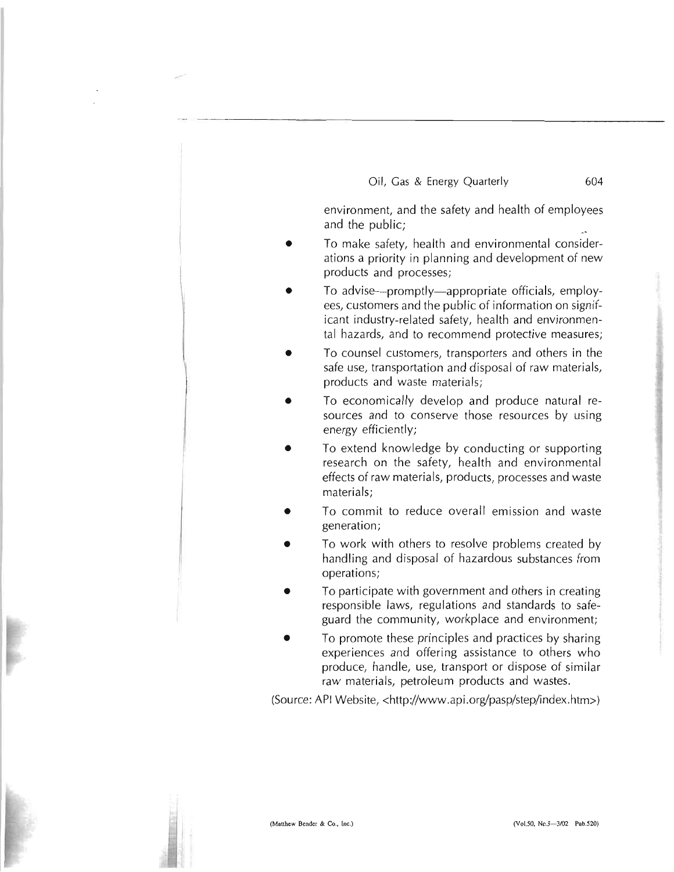environment, and the safety and health of employees and the public;

- To make safety, health and environmental considerations a priority in planning and development of new products and processes;
- To advise---promptly---appropriate officials, employees, customers and the public of information on significant industry-related safety, health and environmental hazards, and to recommend protective measures;
- To counsel customers, transporters and others in the safe use, transportation and disposal of raw materials, products and waste materials;
- To economically develop and produce natural resources and to conserve those resources by using energy efficiently;
- To extend knowledge by conducting or supporting research on the safety, health and environmental effects of raw materials, products, processes and waste materials;
- To commit to reduce overall emission and waste generation;
- To work with others to resolve problems created by handling and disposal of hazardous substances from operations;
- To participate with government and others in creating responsible laws, regulations and standards to safeguard the community, workplace and environment;
- To promote these principles and practices by sharing experiences and offering assistance to others who produce, handle, use, transport or dispose of similar raw materials, petroleum products and wastes.

(Source: API Website, <http://www.api.org/pasp/step/index.htm>)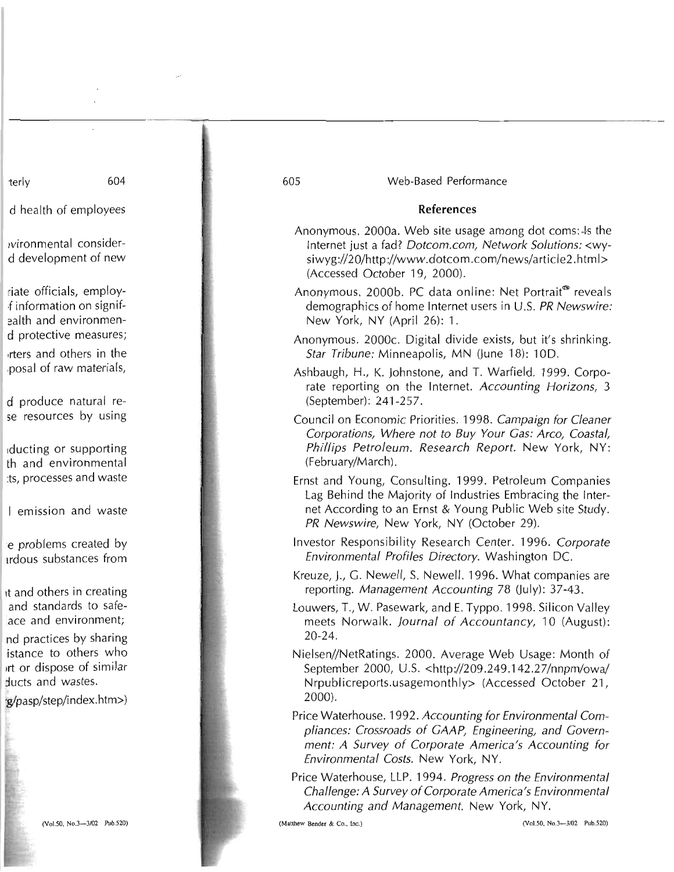terly 604

d health of employees

Ivironmental considerd development of new

riate officials, employf information on signifealth and environmend protective measures; ,rters and others in the .posal of raw materials,

d produce natural rese resources by using

Iducting or supporting th and environmental ts, processes and waste

I em ission and waste

e problems created by Irdous substances from

It and others in creating and standards to safelace and environment;

nd practices by sharing istance to others who ,rt or dispose of similar ducts and wastes.

·g!pasp/step/index.htm»

605 Web-Based Performance

#### **References**

- Anonymous. 2000a. Web site usage among dot coms:  $\frac{1}{5}$  the Internet just a fad? Dotcom.com, Network Solutions: <wysiwyg://20/http://www.dotcom.com/news/artide2.html> (Accessed October 19, 2000).
- Anonymous. 2000b. PC data online: Net Portrait<sup>®</sup> reveals demographics of home Internet users in U.S. PR Newswire: New York, NY (April 26): 1.
- Anonymous. 2000c. Digital divide exists, but it's shrinking. Star Tribune: Minneapolis, MN (June 18): 10D.
- Ashbaugh, H., K. Johnstone, and T. Warfield. 1999. Corporate reporting on the Internet. Accounting Horizons, 3 (September): 241-257.
- Council on Economic Priorities. 1998. Campaign for Cleaner Corporations, Where not to Buy Your Cas: Arco, Coastal, Phillips Petroleum. Research Report. New York, NY: (February/March) .
- Ernst and Young, Consulting. 1999. Petroleum Companies Lag Behind the Majority of Industries Embracing the Internet According to an Ernst & Young Public Web site Study. PR Newswire, New York, NY (October 29).
- Investor Responsibility Research Center. 1996. Corporate Environmental Profiles Directory. Washington DC.
- Kreuze, J., G. Newell, S. Newell. 1996. What companies are reporting. Management Accounting 78 (July): 37-43.
- Louwers, T., W. Pasewark, and E. Typpo. 1998. Silicon Valley meets Norwalk. Journal of Accountancy, 10 (August): 20-24.
- Nielsen//NetRatings. 2000. Average Web Usage: Month of September 2000, U.S. <http://209.249.142.27/nnpm/owal Nrpublicreports.usagemonthly> (Accessed October 21, 2000).
- Price Waterhouse. 1992. Accounting for Environmental Compliances: Crossroads of GAAP, Engineering, and Government: A Survey of Corporate America's Accounting for Environmental Costs. New York, NY.
- Price Waterhouse, LLP. 1994. Progress on the Environmental Challenge: A Survey of Corporate America's Environmental Accounting and Management. New York, NY.